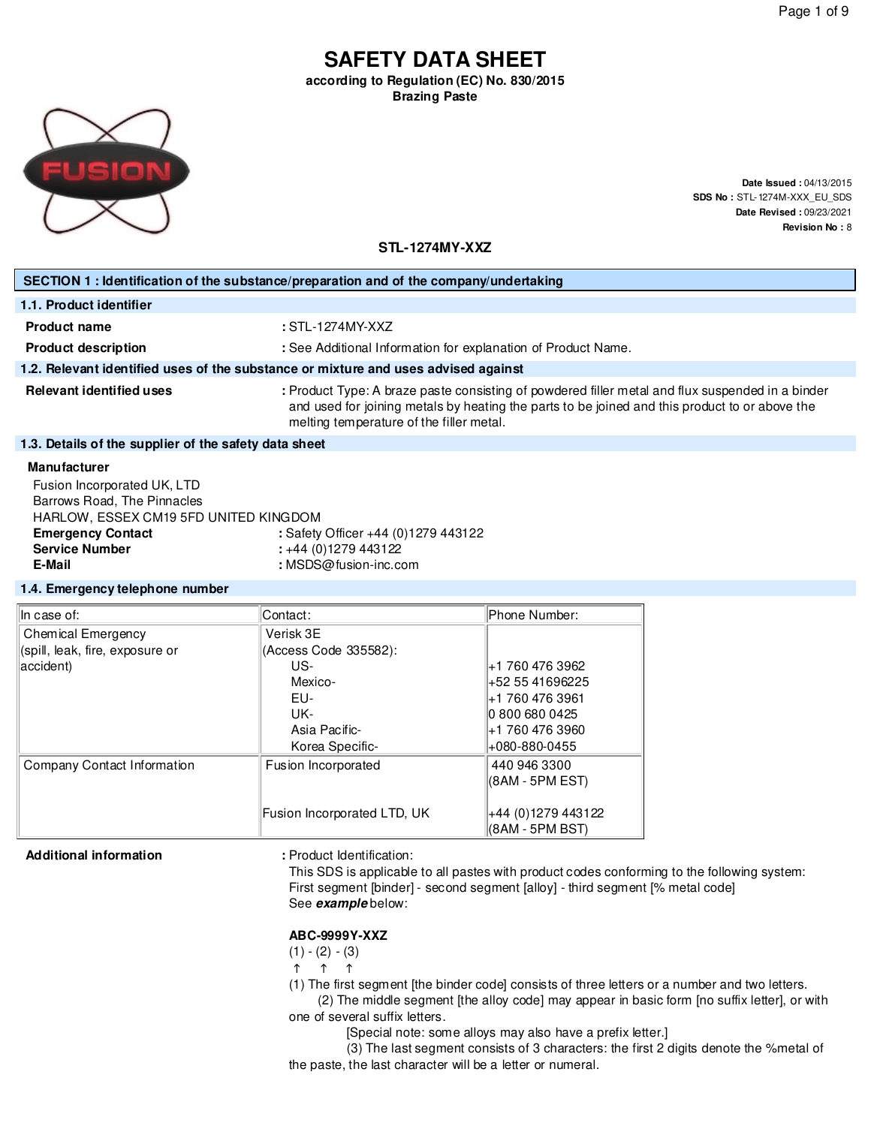# **SAFETY DATA SHEET according to Regulation (EC) No. 830/2015**

**Brazing Paste**



**Date Issued :** 04/13/2015 **SDS No :** STL-1274M-XXX\_EU\_SDS **Date Revised :** 09/23/2021 **Revision No :** 8

**STL-1274MY-XXZ**

| SECTION 1 : Identification of the substance/preparation and of the company/undertaking                   |                                                                                                                                                                                                                                                |  |  |  |
|----------------------------------------------------------------------------------------------------------|------------------------------------------------------------------------------------------------------------------------------------------------------------------------------------------------------------------------------------------------|--|--|--|
| 1.1. Product identifier                                                                                  |                                                                                                                                                                                                                                                |  |  |  |
| <b>Product name</b>                                                                                      | $:STL-1274MY-XXZ$                                                                                                                                                                                                                              |  |  |  |
| <b>Product description</b>                                                                               | : See Additional Information for explanation of Product Name.                                                                                                                                                                                  |  |  |  |
|                                                                                                          | 1.2. Relevant identified uses of the substance or mixture and uses advised against                                                                                                                                                             |  |  |  |
| <b>Relevant identified uses</b>                                                                          | : Product Type: A braze paste consisting of powdered filler metal and flux suspended in a binder<br>and used for joining metals by heating the parts to be joined and this product to or above the<br>melting temperature of the filler metal. |  |  |  |
| 1.3. Details of the supplier of the safety data sheet                                                    |                                                                                                                                                                                                                                                |  |  |  |
| <b>Manufacturer</b>                                                                                      |                                                                                                                                                                                                                                                |  |  |  |
| Fusion Incorporated UK, LTD<br>Barrows Road, The Pinnacles<br>LIADI OML. FOOFV OM40 EFD UNITED IZINO DOM |                                                                                                                                                                                                                                                |  |  |  |

| Barrows Road, The Pinnacles           |                                     |
|---------------------------------------|-------------------------------------|
| HARLOW, ESSEX CM19 5FD UNITED KINGDOM |                                     |
| <b>Emergency Contact</b>              | : Safety Officer +44 (0)1279 443122 |
| <b>Service Number</b>                 | $\div$ +44 (0)1279 443122           |
| E-Mail                                | : $MSDS@fusion-inc.com$             |
|                                       |                                     |

#### **1.4. Emergency telephone number**

| In case of:                     | Contact:                    | Phone Number:      |
|---------------------------------|-----------------------------|--------------------|
| Chemical Emergency              | Verisk 3E                   |                    |
| (spill, leak, fire, exposure or | (Access Code 335582):       |                    |
| accident)                       | US-                         | +1 760 476 3962    |
|                                 | Mexico-                     | +52 55 41696225    |
|                                 | EU-                         | ∣+1 760 476 3961   |
|                                 | UK-                         | 0 800 680 0425     |
|                                 | Asia Pacific-               | +1 760 476 3960    |
|                                 | Korea Specific-             | +080-880-0455      |
| Company Contact Information     | Fusion Incorporated         | 440 946 3300       |
|                                 |                             | (8AM - 5PM EST)    |
|                                 |                             |                    |
|                                 | Fusion Incorporated LTD, UK | +44 (0)1279 443122 |
|                                 |                             | (8AM - 5PM BST)    |

### Additional information **and information** : Product Identification:

This SDS is applicable to all pastes with product codes conforming to the following system: First segment [binder] - second segment [alloy] - third segment [% metal code] See **example** below:

### **ABC-9999Y-XXZ**

 $(1) - (2) - (3)$ 

 $\uparrow$   $\uparrow$   $\uparrow$ 

(1) The first segment [the binder code] consists of three letters or a number and two letters.

(2) The middle segment [the alloy code] may appear in basic form [no suffix letter], or with one of several suffix letters.

[Special note: some alloys may also have a prefix letter.]

(3) The last segment consists of 3 characters: the first 2 digits denote the %metal of the paste, the last character will be a letter or numeral.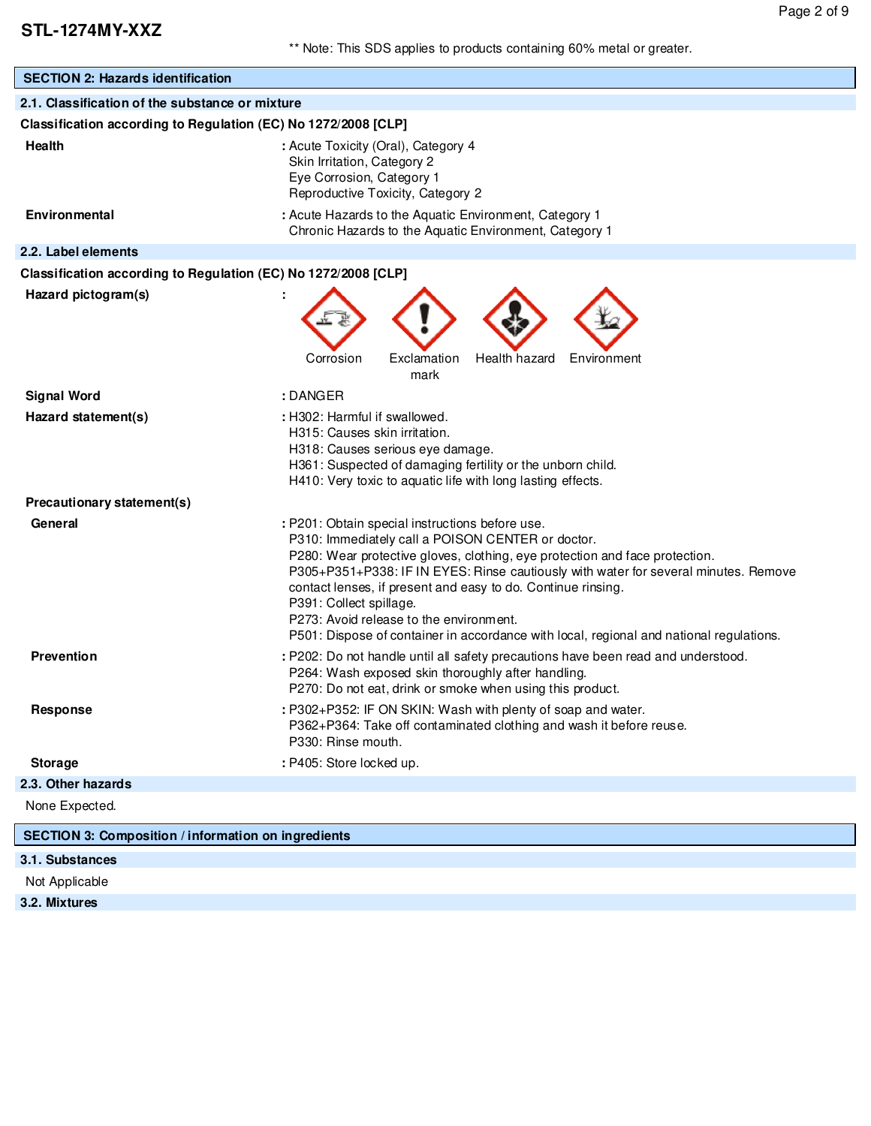| <b>SECTION 2: Hazards identification</b>                       |                                                                                                                                                                                                                                                                                                                                                                                                                                                                                                             |  |  |  |
|----------------------------------------------------------------|-------------------------------------------------------------------------------------------------------------------------------------------------------------------------------------------------------------------------------------------------------------------------------------------------------------------------------------------------------------------------------------------------------------------------------------------------------------------------------------------------------------|--|--|--|
| 2.1. Classification of the substance or mixture                |                                                                                                                                                                                                                                                                                                                                                                                                                                                                                                             |  |  |  |
| Classification according to Regulation (EC) No 1272/2008 [CLP] |                                                                                                                                                                                                                                                                                                                                                                                                                                                                                                             |  |  |  |
| <b>Health</b>                                                  | : Acute Toxicity (Oral), Category 4<br>Skin Irritation, Category 2<br>Eye Corrosion, Category 1<br>Reproductive Toxicity, Category 2                                                                                                                                                                                                                                                                                                                                                                        |  |  |  |
| <b>Environmental</b>                                           | : Acute Hazards to the Aquatic Environment, Category 1<br>Chronic Hazards to the Aquatic Environment, Category 1                                                                                                                                                                                                                                                                                                                                                                                            |  |  |  |
| 2.2. Label elements                                            |                                                                                                                                                                                                                                                                                                                                                                                                                                                                                                             |  |  |  |
| Classification according to Regulation (EC) No 1272/2008 [CLP] |                                                                                                                                                                                                                                                                                                                                                                                                                                                                                                             |  |  |  |
| Hazard pictogram(s)                                            | Health hazard<br>Corrosion<br>Exclamation<br>Environment                                                                                                                                                                                                                                                                                                                                                                                                                                                    |  |  |  |
|                                                                | mark                                                                                                                                                                                                                                                                                                                                                                                                                                                                                                        |  |  |  |
| <b>Signal Word</b>                                             | : DANGER                                                                                                                                                                                                                                                                                                                                                                                                                                                                                                    |  |  |  |
| Hazard statement(s)                                            | : H302: Harmful if swallowed.<br>H315: Causes skin irritation.<br>H318: Causes serious eye damage.<br>H361: Suspected of damaging fertility or the unborn child.<br>H410: Very toxic to aquatic life with long lasting effects.                                                                                                                                                                                                                                                                             |  |  |  |
| Precautionary statement(s)                                     |                                                                                                                                                                                                                                                                                                                                                                                                                                                                                                             |  |  |  |
| General                                                        | : P201: Obtain special instructions before use.<br>P310: Immediately call a POISON CENTER or doctor.<br>P280: Wear protective gloves, clothing, eye protection and face protection.<br>P305+P351+P338: IF IN EYES: Rinse cautiously with water for several minutes. Remove<br>contact lenses, if present and easy to do. Continue rinsing.<br>P391: Collect spillage.<br>P273: Avoid release to the environment.<br>P501: Dispose of container in accordance with local, regional and national regulations. |  |  |  |
| <b>Prevention</b>                                              | : P202: Do not handle until all safety precautions have been read and understood.<br>P264: Wash exposed skin thoroughly after handling.<br>P270: Do not eat, drink or smoke when using this product.                                                                                                                                                                                                                                                                                                        |  |  |  |
| Response                                                       | : P302+P352: IF ON SKIN: Wash with plenty of soap and water.<br>P362+P364: Take off contaminated clothing and wash it before reuse.<br>P330: Rinse mouth.                                                                                                                                                                                                                                                                                                                                                   |  |  |  |
| <b>Storage</b>                                                 | : P405: Store locked up.                                                                                                                                                                                                                                                                                                                                                                                                                                                                                    |  |  |  |
| 2.3. Other hazards                                             |                                                                                                                                                                                                                                                                                                                                                                                                                                                                                                             |  |  |  |
| None Expected.                                                 |                                                                                                                                                                                                                                                                                                                                                                                                                                                                                                             |  |  |  |
| <b>SECTION 3: Composition / information on ingredients</b>     |                                                                                                                                                                                                                                                                                                                                                                                                                                                                                                             |  |  |  |

### **3.1. Substances**

Not Applicable

**3.2. Mixtures**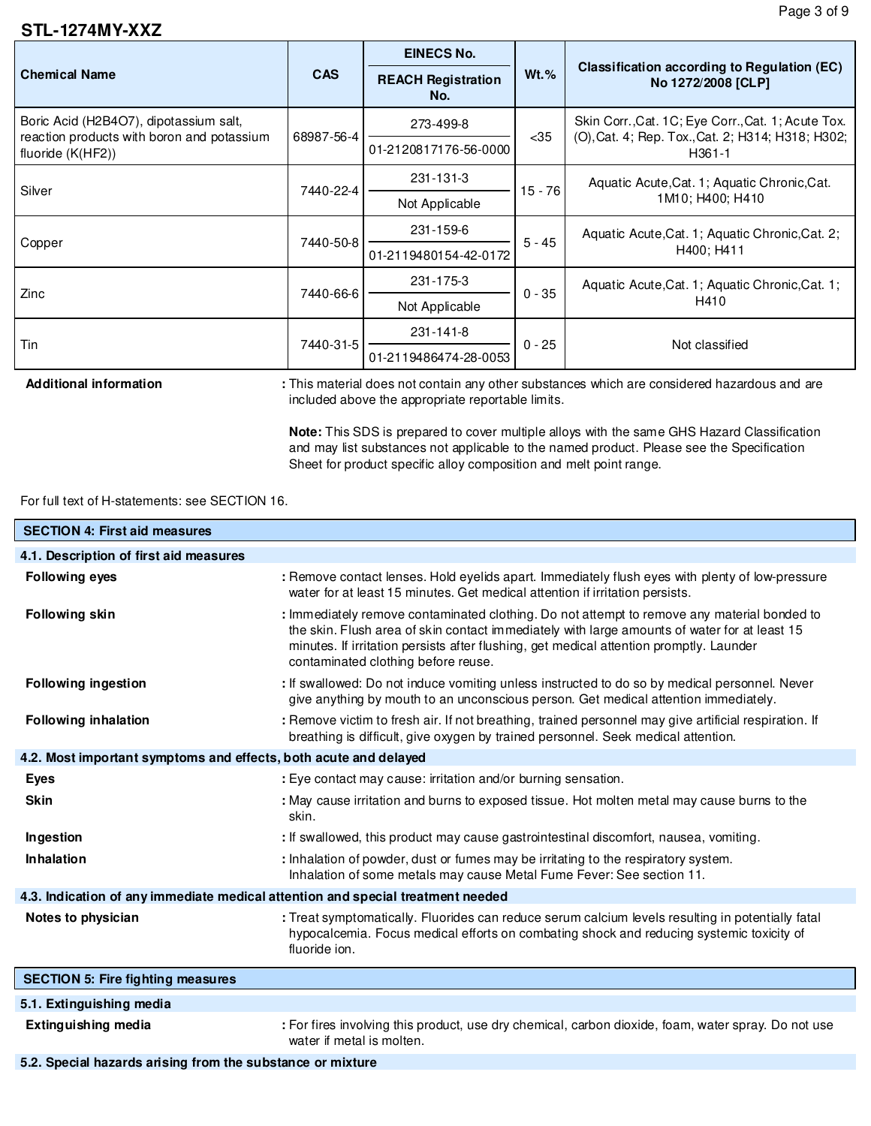### **STL-1274MY-XXZ**

|                                                                 |            | <b>EINECS No.</b>                |            | <b>Classification according to Regulation (EC)</b><br>No 1272/2008 [CLP]                                          |  |
|-----------------------------------------------------------------|------------|----------------------------------|------------|-------------------------------------------------------------------------------------------------------------------|--|
| <b>Chemical Name</b>                                            | <b>CAS</b> | <b>REACH Registration</b><br>No. | $Wt.$ %    |                                                                                                                   |  |
| Boric Acid (H2B4O7), dipotassium salt,                          | 68987-56-4 | 273-499-8                        | $35$       | Skin Corr., Cat. 1C; Eye Corr., Cat. 1; Acute Tox.<br>(O), Cat. 4; Rep. Tox., Cat. 2; H314; H318; H302;<br>H361-1 |  |
| reaction products with boron and potassium<br>fluoride (K(HF2)) |            | 01-2120817176-56-0000            |            |                                                                                                                   |  |
| Silver                                                          | 7440-22-4  | 231-131-3                        | $15 - 761$ | Aquatic Acute, Cat. 1; Aquatic Chronic, Cat.<br>1M10; H400; H410                                                  |  |
|                                                                 |            | Not Applicable                   |            |                                                                                                                   |  |
|                                                                 | 7440-50-8  | 231-159-6                        | $5 - 45$   | Aquatic Acute, Cat. 1; Aquatic Chronic, Cat. 2;                                                                   |  |
| Copper                                                          |            | 01-2119480154-42-0172            |            | H400; H411                                                                                                        |  |
| Zinc                                                            | 7440-66-6  | 231-175-3                        | $0 - 35$   | Aquatic Acute, Cat. 1; Aquatic Chronic, Cat. 1;                                                                   |  |
|                                                                 |            | Not Applicable                   |            | H410                                                                                                              |  |
| Tin                                                             |            | 231-141-8                        | $0 - 25$   | Not classified                                                                                                    |  |
|                                                                 | 7440-31-5  | 01-2119486474-28-0053            |            |                                                                                                                   |  |

Additional information : This material does not contain any other substances which are considered hazardous and are included above the appropriate reportable limits.

> **Note:** This SDS is prepared to cover multiple alloys with the same GHS Hazard Classification and may list substances not applicable to the named product. Please see the Specification Sheet for product specific alloy composition and melt point range.

### For full text of H-statements: see SECTION 16.

| <b>SECTION 4: First aid measures</b>                                            |                                                                                                                                                                                                                                                                                                                               |
|---------------------------------------------------------------------------------|-------------------------------------------------------------------------------------------------------------------------------------------------------------------------------------------------------------------------------------------------------------------------------------------------------------------------------|
| 4.1. Description of first aid measures                                          |                                                                                                                                                                                                                                                                                                                               |
| <b>Following eyes</b>                                                           | : Remove contact lenses. Hold eyelids apart. Immediately flush eyes with plenty of low-pressure<br>water for at least 15 minutes. Get medical attention if irritation persists.                                                                                                                                               |
| <b>Following skin</b>                                                           | : Immediately remove contaminated clothing. Do not attempt to remove any material bonded to<br>the skin. Flush area of skin contact immediately with large amounts of water for at least 15<br>minutes. If irritation persists after flushing, get medical attention promptly. Launder<br>contaminated clothing before reuse. |
| <b>Following ingestion</b>                                                      | : If swallowed: Do not induce vomiting unless instructed to do so by medical personnel. Never<br>give anything by mouth to an unconscious person. Get medical attention immediately.                                                                                                                                          |
| <b>Following inhalation</b>                                                     | : Remove victim to fresh air. If not breathing, trained personnel may give artificial respiration. If<br>breathing is difficult, give oxygen by trained personnel. Seek medical attention.                                                                                                                                    |
| 4.2. Most important symptoms and effects, both acute and delayed                |                                                                                                                                                                                                                                                                                                                               |
| <b>Eyes</b>                                                                     | : Eye contact may cause: irritation and/or burning sensation.                                                                                                                                                                                                                                                                 |
| <b>Skin</b>                                                                     | : May cause irritation and burns to exposed tissue. Hot molten metal may cause burns to the<br>skin.                                                                                                                                                                                                                          |
| Ingestion                                                                       | : If swallowed, this product may cause gastrointestinal discomfort, nausea, vomiting.                                                                                                                                                                                                                                         |
| Inhalation                                                                      | : Inhalation of powder, dust or fumes may be irritating to the respiratory system.<br>Inhalation of some metals may cause Metal Fume Fever: See section 11.                                                                                                                                                                   |
| 4.3. Indication of any immediate medical attention and special treatment needed |                                                                                                                                                                                                                                                                                                                               |
| Notes to physician                                                              | : Treat symptomatically. Fluorides can reduce serum calcium levels resulting in potentially fatal<br>hypocalcemia. Focus medical efforts on combating shock and reducing systemic toxicity of<br>fluoride ion.                                                                                                                |
| <b>SECTION 5: Fire fighting measures</b>                                        |                                                                                                                                                                                                                                                                                                                               |
| 5.1. Extinguishing media                                                        |                                                                                                                                                                                                                                                                                                                               |
| <b>Extinguishing media</b>                                                      | : For fires involving this product, use dry chemical, carbon dioxide, foam, water spray. Do not use<br>water if metal is molten.                                                                                                                                                                                              |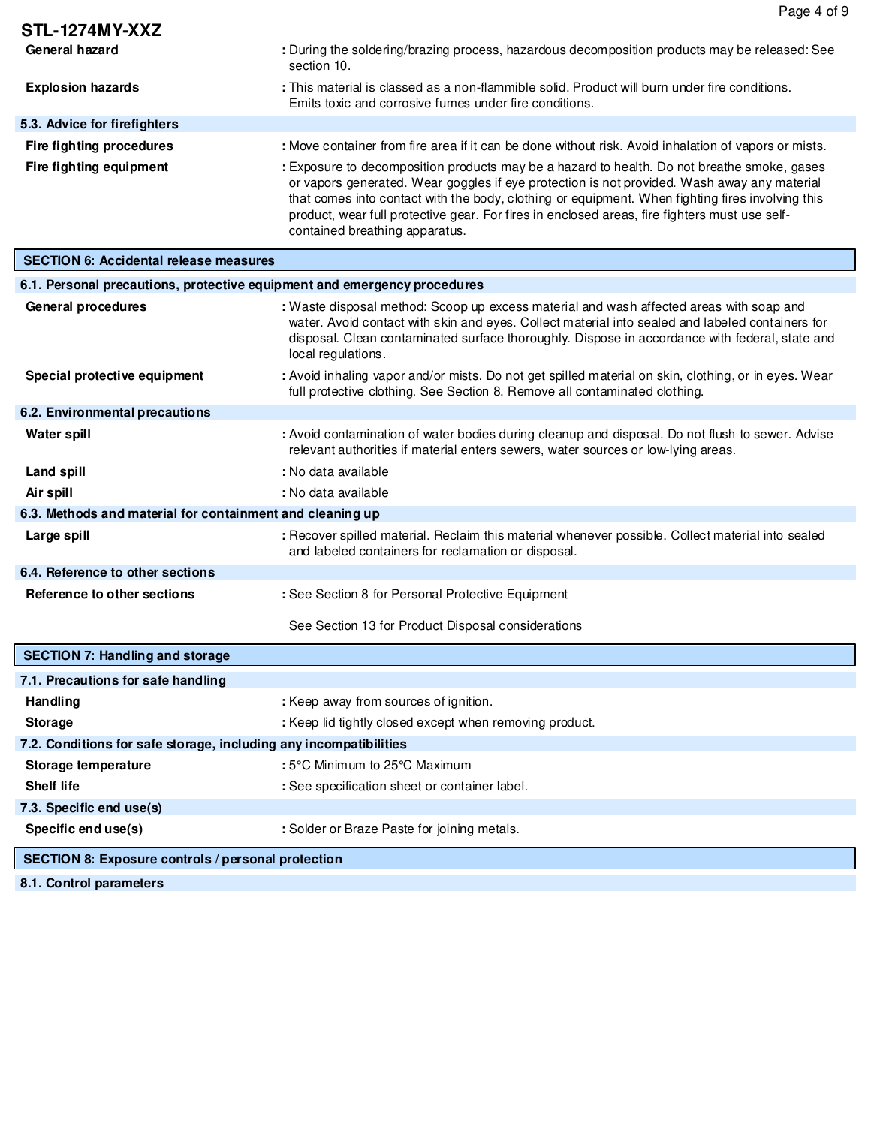|                                                                          | Page 4 of 9                                                                                                                                                                                                                                                                                                                                                                                                                       |
|--------------------------------------------------------------------------|-----------------------------------------------------------------------------------------------------------------------------------------------------------------------------------------------------------------------------------------------------------------------------------------------------------------------------------------------------------------------------------------------------------------------------------|
| <b>STL-1274MY-XXZ</b>                                                    |                                                                                                                                                                                                                                                                                                                                                                                                                                   |
| General hazard                                                           | : During the soldering/brazing process, hazardous decomposition products may be released: See<br>section 10.                                                                                                                                                                                                                                                                                                                      |
| <b>Explosion hazards</b>                                                 | : This material is classed as a non-flammible solid. Product will burn under fire conditions.<br>Emits toxic and corrosive fumes under fire conditions.                                                                                                                                                                                                                                                                           |
| 5.3. Advice for firefighters                                             |                                                                                                                                                                                                                                                                                                                                                                                                                                   |
| <b>Fire fighting procedures</b>                                          | : Move container from fire area if it can be done without risk. Avoid inhalation of vapors or mists.                                                                                                                                                                                                                                                                                                                              |
| Fire fighting equipment                                                  | : Exposure to decomposition products may be a hazard to health. Do not breathe smoke, gases<br>or vapors generated. Wear goggles if eye protection is not provided. Wash away any material<br>that comes into contact with the body, clothing or equipment. When fighting fires involving this<br>product, wear full protective gear. For fires in enclosed areas, fire fighters must use self-<br>contained breathing apparatus. |
| <b>SECTION 6: Accidental release measures</b>                            |                                                                                                                                                                                                                                                                                                                                                                                                                                   |
| 6.1. Personal precautions, protective equipment and emergency procedures |                                                                                                                                                                                                                                                                                                                                                                                                                                   |
| <b>General procedures</b>                                                | : Waste disposal method: Scoop up excess material and wash affected areas with soap and<br>water. Avoid contact with skin and eyes. Collect material into sealed and labeled containers for<br>disposal. Clean contaminated surface thoroughly. Dispose in accordance with federal, state and<br>local regulations.                                                                                                               |
| Special protective equipment                                             | : Avoid inhaling vapor and/or mists. Do not get spilled material on skin, clothing, or in eyes. Wear<br>full protective clothing. See Section 8. Remove all contaminated clothing.                                                                                                                                                                                                                                                |
| 6.2. Environmental precautions                                           |                                                                                                                                                                                                                                                                                                                                                                                                                                   |
| <b>Water spill</b>                                                       | : Avoid contamination of water bodies during cleanup and disposal. Do not flush to sewer. Advise<br>relevant authorities if material enters sewers, water sources or low-lying areas.                                                                                                                                                                                                                                             |
| Land spill                                                               | : No data available                                                                                                                                                                                                                                                                                                                                                                                                               |
| Air spill                                                                | : No data available                                                                                                                                                                                                                                                                                                                                                                                                               |
| 6.3. Methods and material for containment and cleaning up                |                                                                                                                                                                                                                                                                                                                                                                                                                                   |
| Large spill                                                              | : Recover spilled material. Reclaim this material whenever possible. Collect material into sealed<br>and labeled containers for reclamation or disposal.                                                                                                                                                                                                                                                                          |
| 6.4. Reference to other sections                                         |                                                                                                                                                                                                                                                                                                                                                                                                                                   |
| Reference to other sections                                              | : See Section 8 for Personal Protective Equipment                                                                                                                                                                                                                                                                                                                                                                                 |
|                                                                          | See Section 13 for Product Disposal considerations                                                                                                                                                                                                                                                                                                                                                                                |
| <b>SECTION 7: Handling and storage</b>                                   |                                                                                                                                                                                                                                                                                                                                                                                                                                   |
| 7.1. Precautions for safe handling                                       |                                                                                                                                                                                                                                                                                                                                                                                                                                   |
| Handling                                                                 | : Keep away from sources of ignition.                                                                                                                                                                                                                                                                                                                                                                                             |
| <b>Storage</b>                                                           | : Keep lid tightly closed except when removing product.                                                                                                                                                                                                                                                                                                                                                                           |
| 7.2. Conditions for safe storage, including any incompatibilities        |                                                                                                                                                                                                                                                                                                                                                                                                                                   |
| Storage temperature                                                      | : 5°C Minimum to 25°C Maximum                                                                                                                                                                                                                                                                                                                                                                                                     |
| <b>Shelf life</b>                                                        | : See specification sheet or container label.                                                                                                                                                                                                                                                                                                                                                                                     |
| 7.3. Specific end use(s)                                                 |                                                                                                                                                                                                                                                                                                                                                                                                                                   |
| Specific end use(s)                                                      | : Solder or Braze Paste for joining metals.                                                                                                                                                                                                                                                                                                                                                                                       |
| <b>SECTION 8: Exposure controls / personal protection</b>                |                                                                                                                                                                                                                                                                                                                                                                                                                                   |

**8.1. Control parameters**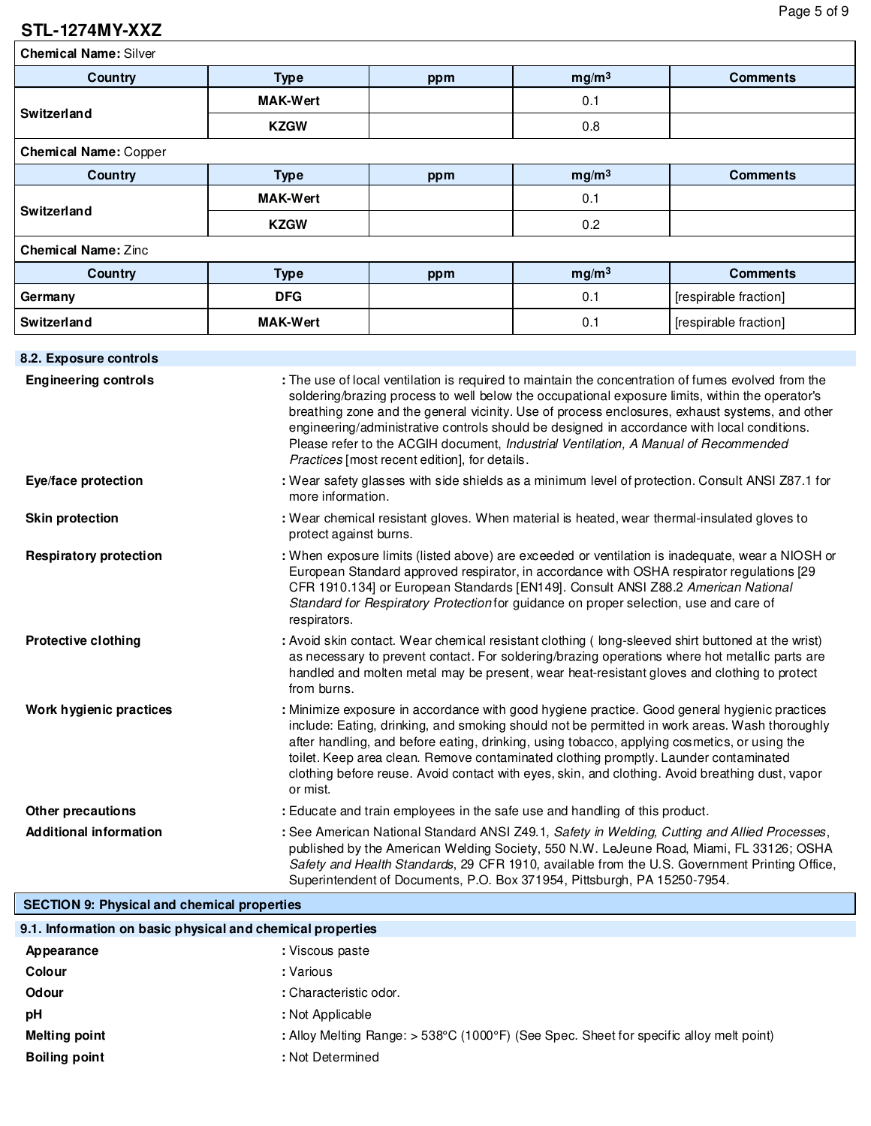## **STL-1274MY-XXZ**

**Chemical Name:** Silver

| Country                      | <b>Type</b>     | ppm | mg/m <sup>3</sup> | <b>Comments</b>       |
|------------------------------|-----------------|-----|-------------------|-----------------------|
| Switzerland                  | <b>MAK-Wert</b> |     | 0.1               |                       |
|                              | <b>KZGW</b>     |     | 0.8               |                       |
| <b>Chemical Name: Copper</b> |                 |     |                   |                       |
| Country                      | <b>Type</b>     | ppm | mg/m <sup>3</sup> | <b>Comments</b>       |
| Switzerland                  | <b>MAK-Wert</b> |     | 0.1               |                       |
|                              | <b>KZGW</b>     |     | 0.2               |                       |
| <b>Chemical Name: Zinc</b>   |                 |     |                   |                       |
| Country                      | <b>Type</b>     | ppm | mg/m <sup>3</sup> | <b>Comments</b>       |
| Germany                      | <b>DFG</b>      |     | 0.1               | [respirable fraction] |
| Switzerland                  | <b>MAK-Wert</b> |     | 0.1               | [respirable fraction] |
|                              |                 |     |                   |                       |
| 2.2 Evnocuro controlo        |                 |     |                   |                       |

| O.Z. EXPOSURE CONTIOIS        |                                                                                                                                                                                                                                                                                                                                                                                                                                                                                                                                                |
|-------------------------------|------------------------------------------------------------------------------------------------------------------------------------------------------------------------------------------------------------------------------------------------------------------------------------------------------------------------------------------------------------------------------------------------------------------------------------------------------------------------------------------------------------------------------------------------|
| <b>Engineering controls</b>   | : The use of local ventilation is required to maintain the concentration of fumes evolved from the<br>soldering/brazing process to well below the occupational exposure limits, within the operator's<br>breathing zone and the general vicinity. Use of process enclosures, exhaust systems, and other<br>engineering/administrative controls should be designed in accordance with local conditions.<br>Please refer to the ACGIH document, Industrial Ventilation, A Manual of Recommended<br>Practices [most recent edition], for details. |
| Eye/face protection           | : Wear safety glasses with side shields as a minimum level of protection. Consult ANSI Z87.1 for<br>more information.                                                                                                                                                                                                                                                                                                                                                                                                                          |
| <b>Skin protection</b>        | : Wear chemical resistant gloves. When material is heated, wear thermal-insulated gloves to<br>protect against burns.                                                                                                                                                                                                                                                                                                                                                                                                                          |
| <b>Respiratory protection</b> | : When exposure limits (listed above) are exceeded or ventilation is inadequate, wear a NIOSH or<br>European Standard approved respirator, in accordance with OSHA respirator regulations [29<br>CFR 1910.134] or European Standards [EN149]. Consult ANSI Z88.2 American National<br>Standard for Respiratory Protection for guidance on proper selection, use and care of<br>respirators.                                                                                                                                                    |
| <b>Protective clothing</b>    | : Avoid skin contact. Wear chemical resistant clothing (long-sleeved shirt buttoned at the wrist)<br>as necessary to prevent contact. For soldering/brazing operations where hot metallic parts are<br>handled and molten metal may be present, wear heat-resistant gloves and clothing to protect<br>from burns.                                                                                                                                                                                                                              |
| Work hygienic practices       | : Minimize exposure in accordance with good hygiene practice. Good general hygienic practices<br>include: Eating, drinking, and smoking should not be permitted in work areas. Wash thoroughly<br>after handling, and before eating, drinking, using tobacco, applying cosmetics, or using the<br>toilet. Keep area clean. Remove contaminated clothing promptly. Launder contaminated<br>clothing before reuse. Avoid contact with eyes, skin, and clothing. Avoid breathing dust, vapor<br>or mist.                                          |
| <b>Other precautions</b>      | : Educate and train employees in the safe use and handling of this product.                                                                                                                                                                                                                                                                                                                                                                                                                                                                    |
| <b>Additional information</b> | : See American National Standard ANSI Z49.1, Safety in Welding, Cutting and Allied Processes,<br>published by the American Welding Society, 550 N.W. LeJeune Road, Miami, FL 33126; OSHA<br>Safety and Health Standards, 29 CFR 1910, available from the U.S. Government Printing Office,<br>Superintendent of Documents, P.O. Box 371954, Pittsburgh, PA 15250-7954.                                                                                                                                                                          |

### **SECTION 9: Physical and chemical properties**

| 9.1. Information on basic physical and chemical properties |                                                                                           |
|------------------------------------------------------------|-------------------------------------------------------------------------------------------|
| Appearance                                                 | : Viscous paste                                                                           |
| Colour                                                     | : Various                                                                                 |
| Odour                                                      | : Characteristic odor.                                                                    |
| рH                                                         | : Not Applicable                                                                          |
| <b>Melting point</b>                                       | : Alloy Melting Range: $>$ 538°C (1000°F) (See Spec. Sheet for specific alloy melt point) |
| <b>Boiling point</b>                                       | : Not Determined                                                                          |
|                                                            |                                                                                           |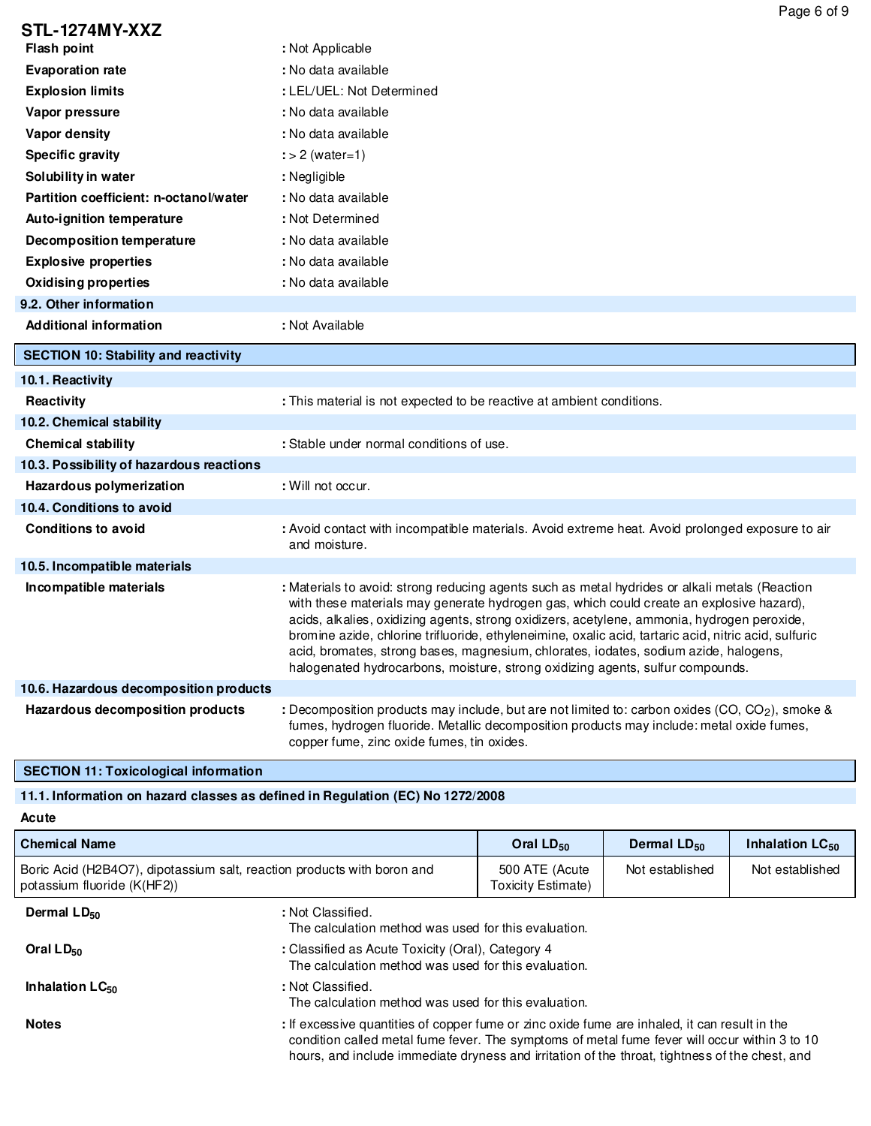|                                             | Page 6 of 9                                                                                                                                                                                                                                                                                                                                                                                                                                                                                                                                                                  |
|---------------------------------------------|------------------------------------------------------------------------------------------------------------------------------------------------------------------------------------------------------------------------------------------------------------------------------------------------------------------------------------------------------------------------------------------------------------------------------------------------------------------------------------------------------------------------------------------------------------------------------|
| STL-1274MY-XXZ                              |                                                                                                                                                                                                                                                                                                                                                                                                                                                                                                                                                                              |
| <b>Flash point</b>                          | : Not Applicable                                                                                                                                                                                                                                                                                                                                                                                                                                                                                                                                                             |
| <b>Evaporation rate</b>                     | : No data available                                                                                                                                                                                                                                                                                                                                                                                                                                                                                                                                                          |
| <b>Explosion limits</b>                     | : LEL/UEL: Not Determined                                                                                                                                                                                                                                                                                                                                                                                                                                                                                                                                                    |
| Vapor pressure                              | : No data available                                                                                                                                                                                                                                                                                                                                                                                                                                                                                                                                                          |
| Vapor density                               | : No data available                                                                                                                                                                                                                                                                                                                                                                                                                                                                                                                                                          |
| <b>Specific gravity</b>                     | $\div$ 2 (water=1)                                                                                                                                                                                                                                                                                                                                                                                                                                                                                                                                                           |
| Solubility in water                         | : Negligible                                                                                                                                                                                                                                                                                                                                                                                                                                                                                                                                                                 |
| Partition coefficient: n-octanol/water      | : No data available                                                                                                                                                                                                                                                                                                                                                                                                                                                                                                                                                          |
| Auto-ignition temperature                   | : Not Determined                                                                                                                                                                                                                                                                                                                                                                                                                                                                                                                                                             |
| Decomposition temperature                   | : No data available                                                                                                                                                                                                                                                                                                                                                                                                                                                                                                                                                          |
| <b>Explosive properties</b>                 | : No data available                                                                                                                                                                                                                                                                                                                                                                                                                                                                                                                                                          |
| <b>Oxidising properties</b>                 | : No data available                                                                                                                                                                                                                                                                                                                                                                                                                                                                                                                                                          |
| 9.2. Other information                      |                                                                                                                                                                                                                                                                                                                                                                                                                                                                                                                                                                              |
| <b>Additional information</b>               | : Not Available                                                                                                                                                                                                                                                                                                                                                                                                                                                                                                                                                              |
| <b>SECTION 10: Stability and reactivity</b> |                                                                                                                                                                                                                                                                                                                                                                                                                                                                                                                                                                              |
| 10.1. Reactivity                            |                                                                                                                                                                                                                                                                                                                                                                                                                                                                                                                                                                              |
| <b>Reactivity</b>                           | : This material is not expected to be reactive at ambient conditions.                                                                                                                                                                                                                                                                                                                                                                                                                                                                                                        |
| 10.2. Chemical stability                    |                                                                                                                                                                                                                                                                                                                                                                                                                                                                                                                                                                              |
| <b>Chemical stability</b>                   | : Stable under normal conditions of use.                                                                                                                                                                                                                                                                                                                                                                                                                                                                                                                                     |
| 10.3. Possibility of hazardous reactions    |                                                                                                                                                                                                                                                                                                                                                                                                                                                                                                                                                                              |
| Hazardous polymerization                    | : Will not occur.                                                                                                                                                                                                                                                                                                                                                                                                                                                                                                                                                            |
| 10.4. Conditions to avoid                   |                                                                                                                                                                                                                                                                                                                                                                                                                                                                                                                                                                              |
| <b>Conditions to avoid</b>                  | : Avoid contact with incompatible materials. Avoid extreme heat. Avoid prolonged exposure to air<br>and moisture.                                                                                                                                                                                                                                                                                                                                                                                                                                                            |
| 10.5. Incompatible materials                |                                                                                                                                                                                                                                                                                                                                                                                                                                                                                                                                                                              |
| Incompatible materials                      | : Materials to avoid: strong reducing agents such as metal hydrides or alkali metals (Reaction<br>with these materials may generate hydrogen gas, which could create an explosive hazard),<br>acids, alkalies, oxidizing agents, strong oxidizers, acetylene, ammonia, hydrogen peroxide,<br>bromine azide, chlorine trifluoride, ethyleneimine, oxalic acid, tartaric acid, nitric acid, sulfuric<br>acid, bromates, strong bases, magnesium, chlorates, iodates, sodium azide, halogens,<br>halogenated hydrocarbons, moisture, strong oxidizing agents, sulfur compounds. |
| 10.6. Hazardous decomposition products      |                                                                                                                                                                                                                                                                                                                                                                                                                                                                                                                                                                              |
| Hazardous decomposition products            | : Decomposition products may include, but are not limited to: carbon oxides (CO, CO <sub>2</sub> ), smoke &<br>fumes, hydrogen fluoride. Metallic decomposition products may include: metal oxide fumes,<br>copper fume, zinc oxide fumes, tin oxides.                                                                                                                                                                                                                                                                                                                       |

**SECTION 11: Toxicological information**

## **11.1. Information on hazard classes as defined in Regulation (EC) No 1272/2008**

**Acute**

| <b>Chemical Name</b>                                                                                   |                                                                                                                                                                                                                                                                                                  | Oral $LD_{50}$                       | Dermal $LD_{50}$ | Inhalation LC <sub>50</sub> |
|--------------------------------------------------------------------------------------------------------|--------------------------------------------------------------------------------------------------------------------------------------------------------------------------------------------------------------------------------------------------------------------------------------------------|--------------------------------------|------------------|-----------------------------|
| Boric Acid (H2B4O7), dipotassium salt, reaction products with boron and<br>potassium fluoride (K(HF2)) |                                                                                                                                                                                                                                                                                                  | 500 ATE (Acute<br>Toxicity Estimate) | Not established  | Not established             |
| Dermal $LD_{50}$                                                                                       | : Not Classified.<br>The calculation method was used for this evaluation.                                                                                                                                                                                                                        |                                      |                  |                             |
| Oral $LD_{50}$                                                                                         | : Classified as Acute Toxicity (Oral), Category 4<br>The calculation method was used for this evaluation.                                                                                                                                                                                        |                                      |                  |                             |
| Inhalation $LC_{50}$                                                                                   | : Not Classified.<br>The calculation method was used for this evaluation.                                                                                                                                                                                                                        |                                      |                  |                             |
| <b>Notes</b>                                                                                           | : If excessive quantities of copper fume or zinc oxide fume are inhaled, it can result in the<br>condition called metal fume fever. The symptoms of metal fume fever will occur within 3 to 10<br>hours, and include immediate dryness and irritation of the throat, tightness of the chest, and |                                      |                  |                             |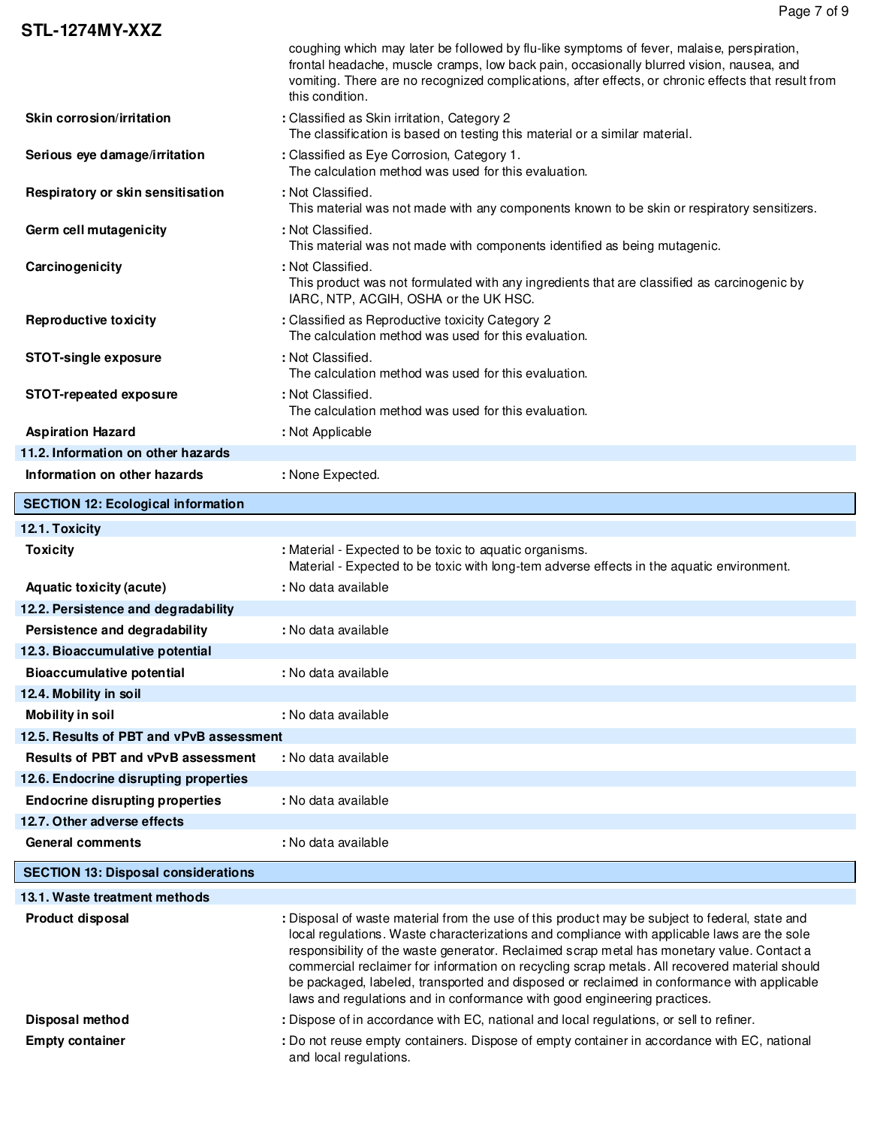|                                            | coughing which may later be followed by flu-like symptoms of fever, malaise, perspiration,<br>frontal headache, muscle cramps, low back pain, occasionally blurred vision, nausea, and<br>vomiting. There are no recognized complications, after effects, or chronic effects that result from<br>this condition.                                                                                                                                                                                                                                                       |  |
|--------------------------------------------|------------------------------------------------------------------------------------------------------------------------------------------------------------------------------------------------------------------------------------------------------------------------------------------------------------------------------------------------------------------------------------------------------------------------------------------------------------------------------------------------------------------------------------------------------------------------|--|
| Skin corrosion/irritation                  | : Classified as Skin irritation, Category 2<br>The classification is based on testing this material or a similar material.                                                                                                                                                                                                                                                                                                                                                                                                                                             |  |
| Serious eye damage/irritation              | : Classified as Eye Corrosion, Category 1.<br>The calculation method was used for this evaluation.                                                                                                                                                                                                                                                                                                                                                                                                                                                                     |  |
| Respiratory or skin sensitisation          | : Not Classified.<br>This material was not made with any components known to be skin or respiratory sensitizers.                                                                                                                                                                                                                                                                                                                                                                                                                                                       |  |
| Germ cell mutagenicity                     | : Not Classified.<br>This material was not made with components identified as being mutagenic.                                                                                                                                                                                                                                                                                                                                                                                                                                                                         |  |
| Carcinogenicity                            | : Not Classified.<br>This product was not formulated with any ingredients that are classified as carcinogenic by<br>IARC, NTP, ACGIH, OSHA or the UK HSC.                                                                                                                                                                                                                                                                                                                                                                                                              |  |
| <b>Reproductive toxicity</b>               | : Classified as Reproductive toxicity Category 2<br>The calculation method was used for this evaluation.                                                                                                                                                                                                                                                                                                                                                                                                                                                               |  |
| <b>STOT-single exposure</b>                | : Not Classified.<br>The calculation method was used for this evaluation.                                                                                                                                                                                                                                                                                                                                                                                                                                                                                              |  |
| STOT-repeated exposure                     | : Not Classified.<br>The calculation method was used for this evaluation.                                                                                                                                                                                                                                                                                                                                                                                                                                                                                              |  |
| <b>Aspiration Hazard</b>                   | : Not Applicable                                                                                                                                                                                                                                                                                                                                                                                                                                                                                                                                                       |  |
| 11.2. Information on other hazards         |                                                                                                                                                                                                                                                                                                                                                                                                                                                                                                                                                                        |  |
| Information on other hazards               | : None Expected.                                                                                                                                                                                                                                                                                                                                                                                                                                                                                                                                                       |  |
| <b>SECTION 12: Ecological information</b>  |                                                                                                                                                                                                                                                                                                                                                                                                                                                                                                                                                                        |  |
| 12.1. Toxicity                             |                                                                                                                                                                                                                                                                                                                                                                                                                                                                                                                                                                        |  |
| <b>Toxicity</b>                            | : Material - Expected to be toxic to aquatic organisms.<br>Material - Expected to be toxic with long-tem adverse effects in the aquatic environment.                                                                                                                                                                                                                                                                                                                                                                                                                   |  |
| <b>Aquatic toxicity (acute)</b>            | : No data available                                                                                                                                                                                                                                                                                                                                                                                                                                                                                                                                                    |  |
| 12.2. Persistence and degradability        |                                                                                                                                                                                                                                                                                                                                                                                                                                                                                                                                                                        |  |
| Persistence and degradability              | : No data available                                                                                                                                                                                                                                                                                                                                                                                                                                                                                                                                                    |  |
| 12.3. Bioaccumulative potential            |                                                                                                                                                                                                                                                                                                                                                                                                                                                                                                                                                                        |  |
| <b>Bioaccumulative potential</b>           | : No data available                                                                                                                                                                                                                                                                                                                                                                                                                                                                                                                                                    |  |
| 12.4. Mobility in soil                     |                                                                                                                                                                                                                                                                                                                                                                                                                                                                                                                                                                        |  |
| <b>Mobility in soil</b>                    | : No data available                                                                                                                                                                                                                                                                                                                                                                                                                                                                                                                                                    |  |
| 12.5. Results of PBT and vPvB assessment   |                                                                                                                                                                                                                                                                                                                                                                                                                                                                                                                                                                        |  |
| <b>Results of PBT and vPvB assessment</b>  | : No data available                                                                                                                                                                                                                                                                                                                                                                                                                                                                                                                                                    |  |
| 12.6. Endocrine disrupting properties      |                                                                                                                                                                                                                                                                                                                                                                                                                                                                                                                                                                        |  |
| <b>Endocrine disrupting properties</b>     | : No data available                                                                                                                                                                                                                                                                                                                                                                                                                                                                                                                                                    |  |
| 12.7. Other adverse effects                |                                                                                                                                                                                                                                                                                                                                                                                                                                                                                                                                                                        |  |
| <b>General comments</b>                    | : No data available                                                                                                                                                                                                                                                                                                                                                                                                                                                                                                                                                    |  |
| <b>SECTION 13: Disposal considerations</b> |                                                                                                                                                                                                                                                                                                                                                                                                                                                                                                                                                                        |  |
| 13.1. Waste treatment methods              |                                                                                                                                                                                                                                                                                                                                                                                                                                                                                                                                                                        |  |
| Product disposal                           | : Disposal of waste material from the use of this product may be subject to federal, state and<br>local regulations. Waste characterizations and compliance with applicable laws are the sole<br>responsibility of the waste generator. Reclaimed scrap metal has monetary value. Contact a<br>commercial reclaimer for information on recycling scrap metals. All recovered material should<br>be packaged, labeled, transported and disposed or reclaimed in conformance with applicable<br>laws and regulations and in conformance with good engineering practices. |  |
| Disposal method                            | : Dispose of in accordance with EC, national and local regulations, or sell to refiner.                                                                                                                                                                                                                                                                                                                                                                                                                                                                                |  |
| <b>Empty container</b>                     | : Do not reuse empty containers. Dispose of empty container in accordance with EC, national<br>and local regulations.                                                                                                                                                                                                                                                                                                                                                                                                                                                  |  |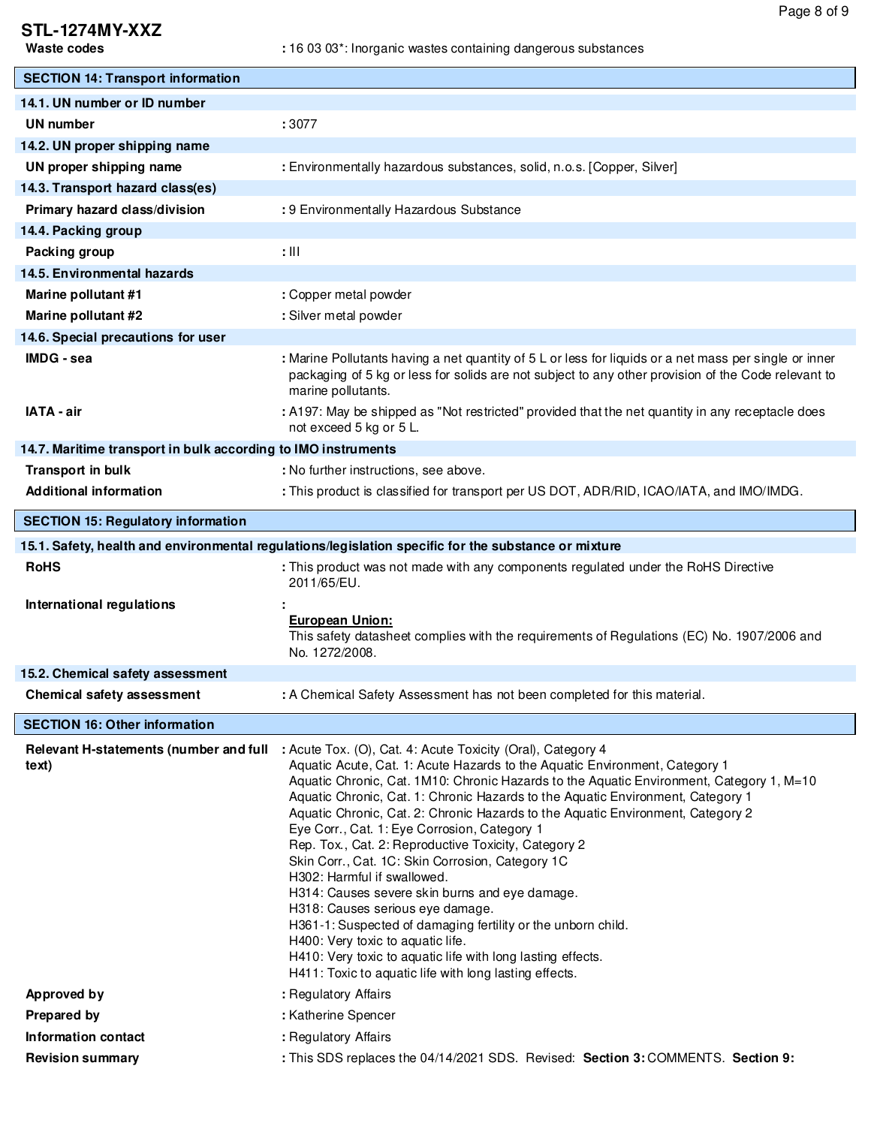# **STL-1274MY-XXZ**

| <b>SECTION 14: Transport information</b>                                                             |                                                                                                                                                                                                                                                                                                                                                                                                                                                                                                                                                                                                                                                                                                                                                                                                                                                                                                                             |  |
|------------------------------------------------------------------------------------------------------|-----------------------------------------------------------------------------------------------------------------------------------------------------------------------------------------------------------------------------------------------------------------------------------------------------------------------------------------------------------------------------------------------------------------------------------------------------------------------------------------------------------------------------------------------------------------------------------------------------------------------------------------------------------------------------------------------------------------------------------------------------------------------------------------------------------------------------------------------------------------------------------------------------------------------------|--|
| 14.1. UN number or ID number                                                                         |                                                                                                                                                                                                                                                                                                                                                                                                                                                                                                                                                                                                                                                                                                                                                                                                                                                                                                                             |  |
| <b>UN number</b>                                                                                     | :3077                                                                                                                                                                                                                                                                                                                                                                                                                                                                                                                                                                                                                                                                                                                                                                                                                                                                                                                       |  |
| 14.2. UN proper shipping name                                                                        |                                                                                                                                                                                                                                                                                                                                                                                                                                                                                                                                                                                                                                                                                                                                                                                                                                                                                                                             |  |
| UN proper shipping name                                                                              | : Environmentally hazardous substances, solid, n.o.s. [Copper, Silver]                                                                                                                                                                                                                                                                                                                                                                                                                                                                                                                                                                                                                                                                                                                                                                                                                                                      |  |
| 14.3. Transport hazard class(es)                                                                     |                                                                                                                                                                                                                                                                                                                                                                                                                                                                                                                                                                                                                                                                                                                                                                                                                                                                                                                             |  |
| Primary hazard class/division                                                                        | : 9 Environmentally Hazardous Substance                                                                                                                                                                                                                                                                                                                                                                                                                                                                                                                                                                                                                                                                                                                                                                                                                                                                                     |  |
| 14.4. Packing group                                                                                  |                                                                                                                                                                                                                                                                                                                                                                                                                                                                                                                                                                                                                                                                                                                                                                                                                                                                                                                             |  |
| Packing group                                                                                        | $: \mathbb{H}$                                                                                                                                                                                                                                                                                                                                                                                                                                                                                                                                                                                                                                                                                                                                                                                                                                                                                                              |  |
| 14.5. Environmental hazards                                                                          |                                                                                                                                                                                                                                                                                                                                                                                                                                                                                                                                                                                                                                                                                                                                                                                                                                                                                                                             |  |
| Marine pollutant #1                                                                                  | : Copper metal powder                                                                                                                                                                                                                                                                                                                                                                                                                                                                                                                                                                                                                                                                                                                                                                                                                                                                                                       |  |
| Marine pollutant #2                                                                                  | : Silver metal powder                                                                                                                                                                                                                                                                                                                                                                                                                                                                                                                                                                                                                                                                                                                                                                                                                                                                                                       |  |
| 14.6. Special precautions for user                                                                   |                                                                                                                                                                                                                                                                                                                                                                                                                                                                                                                                                                                                                                                                                                                                                                                                                                                                                                                             |  |
| IMDG - sea                                                                                           | : Marine Pollutants having a net quantity of 5 L or less for liquids or a net mass per single or inner<br>packaging of 5 kg or less for solids are not subject to any other provision of the Code relevant to<br>marine pollutants.                                                                                                                                                                                                                                                                                                                                                                                                                                                                                                                                                                                                                                                                                         |  |
| <b>IATA - air</b>                                                                                    | : A197: May be shipped as "Not restricted" provided that the net quantity in any receptacle does<br>not exceed 5 kg or 5 L.                                                                                                                                                                                                                                                                                                                                                                                                                                                                                                                                                                                                                                                                                                                                                                                                 |  |
| 14.7. Maritime transport in bulk according to IMO instruments                                        |                                                                                                                                                                                                                                                                                                                                                                                                                                                                                                                                                                                                                                                                                                                                                                                                                                                                                                                             |  |
| <b>Transport in bulk</b>                                                                             | : No further instructions, see above.                                                                                                                                                                                                                                                                                                                                                                                                                                                                                                                                                                                                                                                                                                                                                                                                                                                                                       |  |
| <b>Additional information</b>                                                                        | : This product is classified for transport per US DOT, ADR/RID, ICAO/IATA, and IMO/IMDG.                                                                                                                                                                                                                                                                                                                                                                                                                                                                                                                                                                                                                                                                                                                                                                                                                                    |  |
| <b>SECTION 15: Regulatory information</b>                                                            |                                                                                                                                                                                                                                                                                                                                                                                                                                                                                                                                                                                                                                                                                                                                                                                                                                                                                                                             |  |
| 15.1. Safety, health and environmental regulations/legislation specific for the substance or mixture |                                                                                                                                                                                                                                                                                                                                                                                                                                                                                                                                                                                                                                                                                                                                                                                                                                                                                                                             |  |
| <b>RoHS</b>                                                                                          | : This product was not made with any components regulated under the RoHS Directive<br>2011/65/EU.                                                                                                                                                                                                                                                                                                                                                                                                                                                                                                                                                                                                                                                                                                                                                                                                                           |  |
| International regulations                                                                            | <b>European Union:</b><br>This safety datasheet complies with the requirements of Regulations (EC) No. 1907/2006 and<br>No. 1272/2008.                                                                                                                                                                                                                                                                                                                                                                                                                                                                                                                                                                                                                                                                                                                                                                                      |  |
| 15.2. Chemical safety assessment                                                                     |                                                                                                                                                                                                                                                                                                                                                                                                                                                                                                                                                                                                                                                                                                                                                                                                                                                                                                                             |  |
| Chemical safety assessment                                                                           | : A Chemical Safety Assessment has not been completed for this material.                                                                                                                                                                                                                                                                                                                                                                                                                                                                                                                                                                                                                                                                                                                                                                                                                                                    |  |
| <b>SECTION 16: Other information</b>                                                                 |                                                                                                                                                                                                                                                                                                                                                                                                                                                                                                                                                                                                                                                                                                                                                                                                                                                                                                                             |  |
| Relevant H-statements (number and full<br>text)                                                      | : Acute Tox. (O), Cat. 4: Acute Toxicity (Oral), Category 4<br>Aquatic Acute, Cat. 1: Acute Hazards to the Aquatic Environment, Category 1<br>Aquatic Chronic, Cat. 1M10: Chronic Hazards to the Aquatic Environment, Category 1, M=10<br>Aquatic Chronic, Cat. 1: Chronic Hazards to the Aquatic Environment, Category 1<br>Aquatic Chronic, Cat. 2: Chronic Hazards to the Aquatic Environment, Category 2<br>Eye Corr., Cat. 1: Eye Corrosion, Category 1<br>Rep. Tox., Cat. 2: Reproductive Toxicity, Category 2<br>Skin Corr., Cat. 1C: Skin Corrosion, Category 1C<br>H302: Harmful if swallowed.<br>H314: Causes severe skin burns and eye damage.<br>H318: Causes serious eye damage.<br>H361-1: Suspected of damaging fertility or the unborn child.<br>H400: Very toxic to aquatic life.<br>H410: Very toxic to aquatic life with long lasting effects.<br>H411: Toxic to aquatic life with long lasting effects. |  |
| Approved by                                                                                          | : Regulatory Affairs                                                                                                                                                                                                                                                                                                                                                                                                                                                                                                                                                                                                                                                                                                                                                                                                                                                                                                        |  |
| Prepared by                                                                                          | : Katherine Spencer                                                                                                                                                                                                                                                                                                                                                                                                                                                                                                                                                                                                                                                                                                                                                                                                                                                                                                         |  |
| <b>Information contact</b>                                                                           | : Regulatory Affairs                                                                                                                                                                                                                                                                                                                                                                                                                                                                                                                                                                                                                                                                                                                                                                                                                                                                                                        |  |
| <b>Revision summary</b>                                                                              | : This SDS replaces the 04/14/2021 SDS. Revised: Section 3: COMMENTS. Section 9:                                                                                                                                                                                                                                                                                                                                                                                                                                                                                                                                                                                                                                                                                                                                                                                                                                            |  |